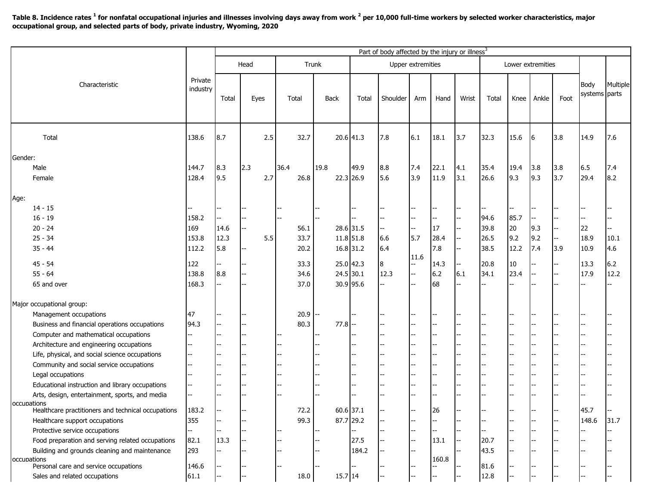**Table 8. Incidence rates <sup>1</sup> for nonfatal occupational injuries and illnesses involving days away from work <sup>2</sup> per 10,000 full-time workers by selected worker characteristics, major occupational group, and selected parts of body, private industry, Wyoming, 2020**

|                                                                   | Private<br>industry | Part of body affected by the injury or illness <sup>3</sup> |                          |       |                          |      |                          |             |                   |          |            |       |       |                   |      |       |      |                       |          |
|-------------------------------------------------------------------|---------------------|-------------------------------------------------------------|--------------------------|-------|--------------------------|------|--------------------------|-------------|-------------------|----------|------------|-------|-------|-------------------|------|-------|------|-----------------------|----------|
| Characteristic                                                    |                     | Head                                                        |                          | Trunk |                          |      |                          |             | Upper extremities |          |            |       |       | Lower extremities |      |       |      |                       |          |
|                                                                   |                     | Total                                                       | Eyes                     |       | Total                    |      | <b>Back</b>              |             | Total             | Shoulder | Arm        | Hand  | Wrist | Total             | Knee | Ankle | Foot | Body<br>systems parts | Multiple |
| Total                                                             | 138.6               | 8.7                                                         |                          | 2.5   |                          | 32.7 |                          |             | 20.6 41.3         | 7.8      | 6.1        | 18.1  | 3.7   | 32.3              | 15.6 | 6     | 3.8  | 14.9                  | 7.6      |
| Gender:                                                           |                     |                                                             |                          |       |                          |      |                          |             |                   |          |            |       |       |                   |      |       |      |                       |          |
| Male                                                              | 144.7               | 8.3                                                         | 2.3                      |       | 36.4                     |      | 19.8                     |             | 49.9              | 8.8      | 7.4        | 22.1  | 4.1   | 35.4              | 19.4 | 3.8   | 3.8  | 6.5                   | 7.4      |
| Female                                                            | 128.4               | 9.5                                                         |                          | 2.7   |                          | 26.8 |                          |             | 22.3 26.9         | 5.6      | 3.9        | 11.9  | 3.1   | 26.6              | 9.3  | 9.3   | 3.7  | 29.4                  | 8.2      |
| Age:                                                              |                     |                                                             |                          |       |                          |      |                          |             |                   |          |            |       |       |                   |      |       |      |                       |          |
| $14 - 15$                                                         |                     |                                                             |                          |       |                          |      |                          |             |                   |          |            |       |       |                   |      |       |      |                       |          |
| $16 - 19$                                                         | 158.2               |                                                             |                          |       | $\overline{\phantom{a}}$ |      |                          |             |                   |          |            |       |       | 94.6              | 85.7 |       |      |                       |          |
| $20 - 24$                                                         | 169                 | 14.6                                                        |                          |       |                          | 56.1 |                          |             | 28.6 31.5         |          | --         | 17    |       | 39.8              | 20   | 9.3   |      | 22                    |          |
| $25 - 34$                                                         | 153.8               | 12.3                                                        |                          | 5.5   |                          | 33.7 |                          |             | 11.8 51.8         | 6.6      | 5.7        | 28.4  | --    | 26.5              | 9.2  | 9.2   | --   | 18.9                  | 10.1     |
| $35 - 44$                                                         | 112.2               | 5.8                                                         |                          |       |                          | 20.2 |                          |             | 16.8 31.2         | 6.4      |            | 7.8   |       | 38.5              | 12.2 | 7.4   | 3.9  | 10.9                  | 4.6      |
| $45 - 54$                                                         | 122                 |                                                             |                          |       |                          | 33.3 |                          |             | 25.0 42.3         |          | 11.6<br>-- | 14.3  | -−    | 20.8              | 10   | --    |      | 13.3                  | 6.2      |
| $55 - 64$                                                         | 138.8               | 8.8                                                         |                          |       |                          | 34.6 |                          |             | $24.5$ 30.1       | 12.3     | --         | 6.2   | 6.1   | 34.1              | 23.4 | $-$   |      | 17.9                  | 12.2     |
| 65 and over                                                       | 168.3               |                                                             |                          |       |                          | 37.0 |                          |             | 30.9 95.6         |          |            | 68    |       |                   |      |       |      |                       |          |
|                                                                   |                     |                                                             |                          |       |                          |      |                          |             |                   |          |            |       |       |                   |      |       |      |                       |          |
| Major occupational group:                                         |                     |                                                             |                          |       |                          |      |                          |             |                   |          |            |       |       |                   |      |       |      |                       |          |
| Management occupations                                            | 47                  |                                                             |                          |       |                          | 20.9 | $\overline{\phantom{a}}$ |             |                   |          |            |       |       |                   |      |       |      |                       |          |
| Business and financial operations occupations                     | 94.3                |                                                             |                          |       |                          | 80.3 |                          | $77.8 -$    |                   |          | --         |       |       |                   |      |       |      |                       |          |
| Computer and mathematical occupations                             |                     |                                                             |                          |       |                          |      |                          |             |                   |          |            |       |       |                   |      |       |      |                       |          |
| Architecture and engineering occupations                          |                     |                                                             |                          |       |                          |      |                          |             |                   |          |            |       |       |                   |      |       |      |                       |          |
| Life, physical, and social science occupations                    |                     |                                                             |                          |       |                          |      |                          |             |                   |          |            |       |       |                   |      |       |      |                       |          |
| Community and social service occupations                          |                     |                                                             |                          |       |                          |      |                          |             |                   |          |            |       |       |                   |      |       |      |                       |          |
| Legal occupations                                                 |                     |                                                             |                          |       |                          |      |                          |             |                   |          |            |       |       |                   |      |       |      |                       |          |
| Educational instruction and library occupations                   |                     |                                                             |                          |       |                          |      |                          |             |                   |          |            |       |       |                   |      |       |      |                       |          |
| Arts, design, entertainment, sports, and media                    |                     |                                                             |                          |       |                          |      |                          |             |                   |          |            |       |       |                   |      |       |      |                       |          |
| occupations<br>Healthcare practitioners and technical occupations | 183.2               |                                                             |                          |       |                          | 72.2 |                          | $60.6$ 37.1 |                   |          | --         | 26    |       |                   |      |       |      | 45.7                  |          |
| Healthcare support occupations                                    | 355                 |                                                             |                          |       |                          | 99.3 |                          |             | 87.7 29.2         |          |            |       |       |                   |      |       |      | 148.6                 | 31.7     |
| Protective service occupations                                    |                     |                                                             |                          |       |                          |      |                          |             |                   |          |            |       |       |                   |      |       |      |                       |          |
| Food preparation and serving related occupations                  | 82.1                | 13.3                                                        |                          |       |                          |      |                          |             | 27.5              |          | $-$        | 13.1  |       | 20.7              |      |       |      |                       |          |
| Building and grounds cleaning and maintenance                     | 293                 |                                                             |                          |       |                          |      |                          |             | 184.2             |          |            |       |       | 43.5              |      |       |      |                       |          |
| occupations<br>Personal care and service occupations              | 146.6               |                                                             |                          |       |                          |      |                          |             |                   |          |            | 160.8 |       | 81.6              |      |       |      |                       |          |
| Sales and related occupations                                     | 61.1                |                                                             | $\overline{\phantom{a}}$ |       |                          | 18.0 |                          | $15.7$ 14   |                   |          |            |       |       | 12.8              |      | --    |      |                       |          |